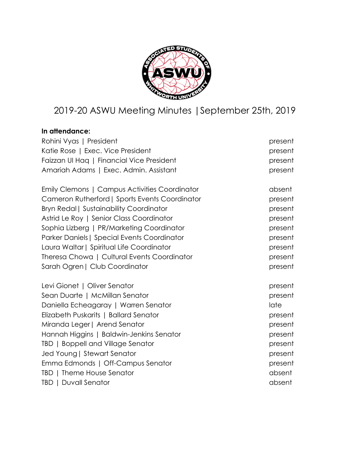

# 2019-20 ASWU Meeting Minutes |September 25th, 2019

# **In attendance:**

| Rohini Vyas   President                        | present |
|------------------------------------------------|---------|
| Katie Rose   Exec. Vice President              | present |
| Faizzan UI Haq   Financial Vice President      | present |
| Amariah Adams   Exec. Admin. Assistant         | present |
| Emily Clemons   Campus Activities Coordinator  | absent  |
| Cameron Rutherford   Sports Events Coordinator | present |
| Bryn Redal   Sustainability Coordinator        | present |
| Astrid Le Roy   Senior Class Coordinator       | present |
| Sophia Lizberg   PR/Marketing Coordinator      | present |
| Parker Daniels   Special Events Coordinator    | present |
| Laura Waltar   Spiritual Life Coordinator      | present |
| Theresa Chowa   Cultural Events Coordinator    | present |
| Sarah Ogren   Club Coordinator                 | present |
| Levi Gionet   Oliver Senator                   | present |
| Sean Duarte   McMillan Senator                 | present |
| Daniella Echeagaray   Warren Senator           | late    |
| Elizabeth Puskarits   Ballard Senator          | present |
| Miranda Leger   Arend Senator                  | present |
| Hannah Higgins   Baldwin-Jenkins Senator       | present |
| TBD   Boppell and Village Senator              | present |
| Jed Young   Stewart Senator                    | present |
| Emma Edmonds   Off-Campus Senator              | present |
| TBD   Theme House Senator                      | absent  |
| TBD   Duvall Senator                           | absent  |
|                                                |         |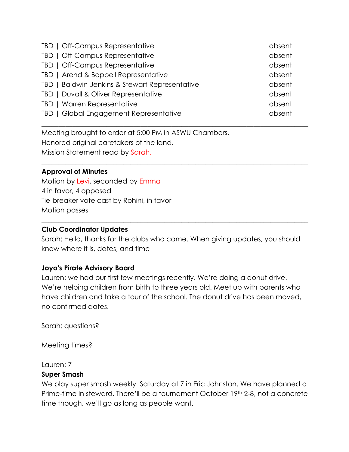| TBD   Off-Campus Representative                | absent |
|------------------------------------------------|--------|
| TBD   Off-Campus Representative                | absent |
| TBD   Off-Campus Representative                | absent |
| TBD   Arend & Boppell Representative           | absent |
| TBD   Baldwin-Jenkins & Stewart Representative | absent |
| TBD   Duvall & Oliver Representative           | absent |
| TBD   Warren Representative                    | absent |
| TBD   Global Engagement Representative         | absent |

\_\_\_\_\_\_\_\_\_\_\_\_\_\_\_\_\_\_\_\_\_\_\_\_\_\_\_\_\_\_\_\_\_\_\_\_\_\_\_\_\_\_\_\_\_\_\_\_\_\_\_\_\_\_\_\_\_\_\_\_\_\_\_\_\_\_\_\_\_\_\_\_\_\_\_\_\_\_

 $\_$  , and the set of the set of the set of the set of the set of the set of the set of the set of the set of the set of the set of the set of the set of the set of the set of the set of the set of the set of the set of th

Meeting brought to order at 5:00 PM in ASWU Chambers. Honored original caretakers of the land. Mission Statement read by Sarah.

### **Approval of Minutes**

Motion by Levi, seconded by Emma 4 in favor, 4 opposed Tie-breaker vote cast by Rohini, in favor Motion passes

### **Club Coordinator Updates**

Sarah: Hello, thanks for the clubs who came. When giving updates, you should know where it is, dates, and time

\_\_\_\_\_\_\_\_\_\_\_\_\_\_\_\_\_\_\_\_\_\_\_\_\_\_\_\_\_\_\_\_\_\_\_\_\_\_\_\_\_\_\_\_\_\_\_\_\_\_\_\_\_\_\_\_\_\_\_\_\_\_\_\_\_\_\_\_\_\_\_\_\_\_\_\_\_\_

### **Joya's Pirate Advisory Board**

Lauren: we had our first few meetings recently. We're doing a donut drive. We're helping children from birth to three years old. Meet up with parents who have children and take a tour of the school. The donut drive has been moved, no confirmed dates.

Sarah: questions?

Meeting times?

Lauren: 7

### **Super Smash**

We play super smash weekly. Saturday at 7 in Eric Johnston. We have planned a Prime-time in steward. There'll be a tournament October 19th 2-8, not a concrete time though, we'll go as long as people want.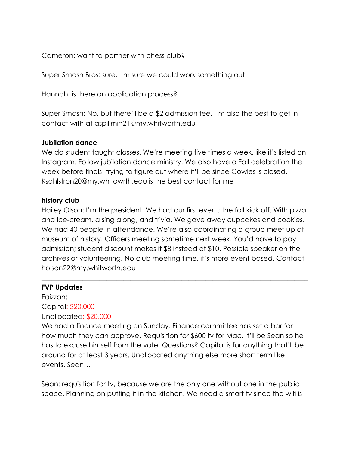Cameron: want to partner with chess club?

Super Smash Bros: sure, I'm sure we could work something out.

Hannah: is there an application process?

Super Smash: No, but there'll be a \$2 admission fee. I'm also the best to get in contact with at aspillmin21@my.whitworth.edu

### **Jubilation dance**

We do student taught classes. We're meeting five times a week, like it's listed on Instagram. Follow jubilation dance ministry. We also have a Fall celebration the week before finals, trying to figure out where it'll be since Cowles is closed. Ksahlstron20@my.whitowrth.edu is the best contact for me

# **history club**

Hailey Olson: I'm the president. We had our first event; the fall kick off. With pizza and ice-cream, a sing along, and trivia. We gave away cupcakes and cookies. We had 40 people in attendance. We're also coordinating a group meet up at museum of history. Officers meeting sometime next week. You'd have to pay admission; student discount makes it \$8 instead of \$10. Possible speaker on the archives or volunteering. No club meeting time, it's more event based. Contact holson22@my.whitworth.edu

 $\_$  , and the set of the set of the set of the set of the set of the set of the set of the set of the set of the set of the set of the set of the set of the set of the set of the set of the set of the set of the set of th

# **FVP Updates**

Faizzan: Capital: \$20,000 Unallocated: \$20,000

We had a finance meeting on Sunday. Finance committee has set a bar for how much they can approve. Requisition for \$600 tv for Mac. It'll be Sean so he has to excuse himself from the vote. Questions? Capital is for anything that'll be around for at least 3 years. Unallocated anything else more short term like events. Sean…

Sean: requisition for tv, because we are the only one without one in the public space. Planning on putting it in the kitchen. We need a smart tv since the wifi is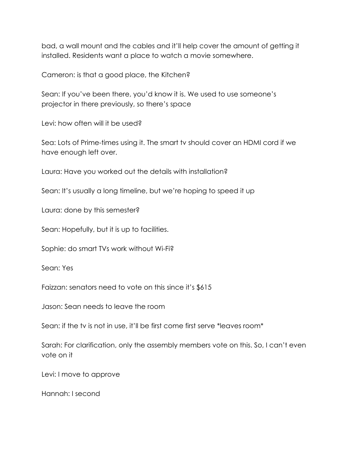bad, a wall mount and the cables and it'll help cover the amount of getting it installed. Residents want a place to watch a movie somewhere.

Cameron: is that a good place, the Kitchen?

Sean: If you've been there, you'd know it is. We used to use someone's projector in there previously, so there's space

Levi: how often will it be used?

Sea: Lots of Prime-times using it. The smart tv should cover an HDMI cord if we have enough left over.

Laura: Have you worked out the details with installation?

Sean: It's usually a long timeline, but we're hoping to speed it up

Laura: done by this semester?

Sean: Hopefully, but it is up to facilities.

Sophie: do smart TVs work without Wi-Fi?

Sean: Yes

Faizzan: senators need to vote on this since it's \$615

Jason: Sean needs to leave the room

Sean: if the tv is not in use, it'll be first come first serve \*leaves room\*

Sarah: For clarification, only the assembly members vote on this. So, I can't even vote on it

Levi: I move to approve

Hannah: I second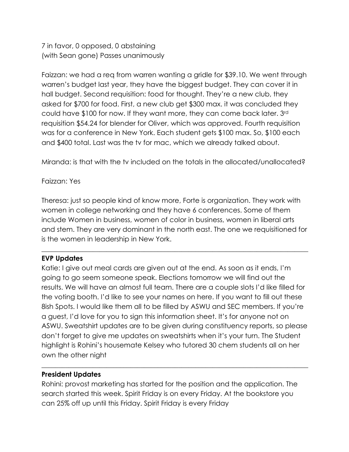7 in favor, 0 opposed, 0 abstaining (with Sean gone) Passes unanimously

Faizzan: we had a req from warren wanting a gridle for \$39.10. We went through warren's budget last year, they have the biggest budget. They can cover it in hall budget. Second requisition: food for thought. They're a new club, they asked for \$700 for food. First, a new club get \$300 max. it was concluded they could have \$100 for now. If they want more, they can come back later. 3rd requisition \$54.24 for blender for Oliver, which was approved. Fourth requisition was for a conference in New York. Each student gets \$100 max. So, \$100 each and \$400 total. Last was the tv for mac, which we already talked about.

Miranda: is that with the tv included on the totals in the allocated/unallocated?

# Faizzan: Yes

Theresa: just so people kind of know more, Forte is organization. They work with women in college networking and they have 6 conferences. Some of them include Women in business, women of color in business, women in liberal arts and stem. They are very dominant in the north east. The one we requisitioned for is the women in leadership in New York.

 $\_$  , and the set of the set of the set of the set of the set of the set of the set of the set of the set of the set of the set of the set of the set of the set of the set of the set of the set of the set of the set of th

# **EVP Updates**

Katie: I give out meal cards are given out at the end. As soon as it ends, I'm going to go seem someone speak. Elections tomorrow we will find out the results. We will have an almost full team. There are a couple slots I'd like filled for the voting booth. I'd like to see your names on here. If you want to fill out these 8ish Spots. I would like them all to be filled by ASWU and SEC members. If you're a guest, I'd love for you to sign this information sheet. It's for anyone not on ASWU. Sweatshirt updates are to be given during constituency reports, so please don't forget to give me updates on sweatshirts when it's your turn. The Student highlight is Rohini's housemate Kelsey who tutored 30 chem students all on her own the other night

### **President Updates**

Rohini: provost marketing has started for the position and the application. The search started this week. Spirit Friday is on every Friday. At the bookstore you can 25% off up until this Friday. Spirit Friday is every Friday

 $\_$  , and the set of the set of the set of the set of the set of the set of the set of the set of the set of the set of the set of the set of the set of the set of the set of the set of the set of the set of the set of th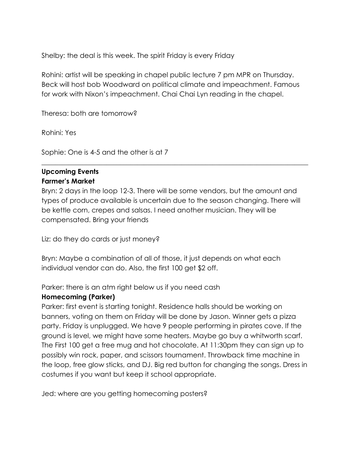Shelby: the deal is this week. The spirit Friday is every Friday

Rohini: artist will be speaking in chapel public lecture 7 pm MPR on Thursday. Beck will host bob Woodward on political climate and impeachment. Famous for work with Nixon's impeachment. Chai Chai Lyn reading in the chapel.

Theresa: both are tomorrow?

Rohini: Yes

Sophie: One is 4-5 and the other is at 7

# **Upcoming Events Farmer's Market**

Bryn: 2 days in the loop 12-3. There will be some vendors, but the amount and types of produce available is uncertain due to the season changing. There will be kettle corn, crepes and salsas. I need another musician. They will be compensated. Bring your friends

 $\_$  , and the set of the set of the set of the set of the set of the set of the set of the set of the set of the set of the set of the set of the set of the set of the set of the set of the set of the set of the set of th

Liz: do they do cards or just money?

Bryn: Maybe a combination of all of those, it just depends on what each individual vendor can do. Also, the first 100 get \$2 off.

Parker: there is an atm right below us if you need cash

### **Homecoming (Parker)**

Parker: first event is starting tonight. Residence halls should be working on banners, voting on them on Friday will be done by Jason. Winner gets a pizza party. Friday is unplugged. We have 9 people performing in pirates cove. If the ground is level, we might have some heaters. Maybe go buy a whitworth scarf. The First 100 get a free mug and hot chocolate. At 11:30pm they can sign up to possibly win rock, paper, and scissors tournament. Throwback time machine in the loop, free glow sticks, and DJ. Big red button for changing the songs. Dress in costumes if you want but keep it school appropriate.

Jed: where are you getting homecoming posters?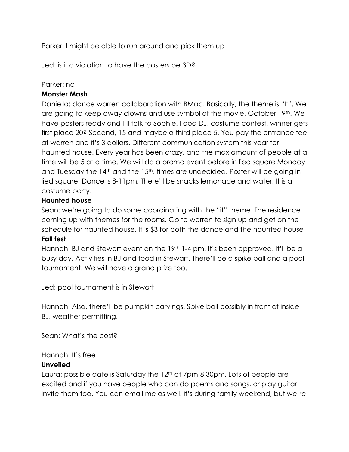Parker: I might be able to run around and pick them up

Jed: is it a violation to have the posters be 3D?

### Parker: no

# **Monster Mash**

Daniella: dance warren collaboration with BMac. Basically, the theme is "It". We are going to keep away clowns and use symbol of the movie. October 19th. We have posters ready and I'll talk to Sophie. Food DJ, costume contest, winner gets first place 20? Second, 15 and maybe a third place 5. You pay the entrance fee at warren and it's 3 dollars. Different communication system this year for haunted house. Every year has been crazy, and the max amount of people at a time will be 5 at a time. We will do a promo event before in lied square Monday and Tuesday the 14<sup>th</sup> and the 15<sup>th</sup>, times are undecided. Poster will be going in lied square. Dance is 8-11pm. There'll be snacks lemonade and water. It is a costume party.

# **Haunted house**

Sean: we're going to do some coordinating with the "it" theme. The residence coming up with themes for the rooms. Go to warren to sign up and get on the schedule for haunted house. It is \$3 for both the dance and the haunted house **Fall fest**

# Hannah: BJ and Stewart event on the 19<sup>th</sup> 1-4 pm. It's been approved. It'll be a busy day. Activities in BJ and food in Stewart. There'll be a spike ball and a pool tournament. We will have a grand prize too.

Jed: pool tournament is in Stewart

Hannah: Also, there'll be pumpkin carvings. Spike ball possibly in front of inside BJ, weather permitting.

Sean: What's the cost?

# Hannah: It's free

### **Unveiled**

Laura: possible date is Saturday the 12<sup>th</sup> at 7pm-8:30pm. Lots of people are excited and if you have people who can do poems and songs, or play guitar invite them too. You can email me as well. it's during family weekend, but we're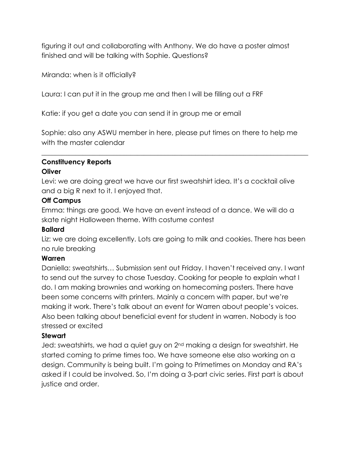figuring it out and collaborating with Anthony. We do have a poster almost finished and will be talking with Sophie. Questions?

Miranda: when is it officially?

Laura: I can put it in the group me and then I will be filling out a FRF

Katie: if you get a date you can send it in group me or email

Sophie: also any ASWU member in here, please put times on there to help me with the master calendar

\_\_\_\_\_\_\_\_\_\_\_\_\_\_\_\_\_\_\_\_\_\_\_\_\_\_\_\_\_\_\_\_\_\_\_\_\_\_\_\_\_\_\_\_\_\_\_\_\_\_\_\_\_\_\_\_\_\_\_\_\_\_\_\_\_\_\_\_\_\_\_\_\_\_\_\_\_\_

### **Constituency Reports Oliver**

Levi: we are doing great we have our first sweatshirt idea. It's a cocktail olive and a big R next to it. I enjoyed that.

# **Off Campus**

Emma: things are good. We have an event instead of a dance. We will do a skate night Halloween theme. With costume contest

# **Ballard**

Liz: we are doing excellently. Lots are going to milk and cookies. There has been no rule breaking

# **Warren**

Daniella: sweatshirts… Submission sent out Friday. I haven't received any. I want to send out the survey to chose Tuesday. Cooking for people to explain what I do. I am making brownies and working on homecoming posters. There have been some concerns with printers. Mainly a concern with paper, but we're making it work. There's talk about an event for Warren about people's voices. Also been talking about beneficial event for student in warren. Nobody is too stressed or excited

# **Stewart**

Jed: sweatshirts, we had a quiet guy on 2nd making a design for sweatshirt. He started coming to prime times too. We have someone else also working on a design. Community is being built. I'm going to Primetimes on Monday and RA's asked if I could be involved. So, I'm doing a 3-part civic series. First part is about justice and order.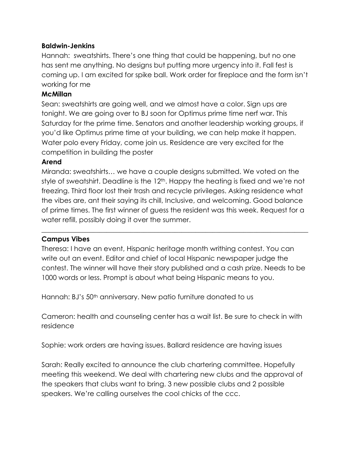### **Baldwin-Jenkins**

Hannah: sweatshirts. There's one thing that could be happening, but no one has sent me anything. No designs but putting more urgency into it. Fall fest is coming up. I am excited for spike ball. Work order for fireplace and the form isn't working for me

### **McMillan**

Sean: sweatshirts are going well, and we almost have a color. Sign ups are tonight. We are going over to BJ soon for Optimus prime time nerf war. This Saturday for the prime time. Senators and another leadership working groups, if you'd like Optimus prime time at your building, we can help make it happen. Water polo every Friday, come join us. Residence are very excited for the competition in building the poster

# **Arend**

Miranda: sweatshirts… we have a couple designs submitted. We voted on the style of sweatshirt. Deadline is the 12<sup>th</sup>. Happy the heating is fixed and we're not freezing. Third floor lost their trash and recycle privileges. Asking residence what the vibes are, ant their saying its chill, Inclusive, and welcoming. Good balance of prime times. The first winner of guess the resident was this week. Request for a water refill, possibly doing it over the summer.

# **Campus Vibes**

Theresa: I have an event, Hispanic heritage month writhing contest. You can write out an event. Editor and chief of local Hispanic newspaper judge the contest. The winner will have their story published and a cash prize. Needs to be 1000 words or less. Prompt is about what being Hispanic means to you.

\_\_\_\_\_\_\_\_\_\_\_\_\_\_\_\_\_\_\_\_\_\_\_\_\_\_\_\_\_\_\_\_\_\_\_\_\_\_\_\_\_\_\_\_\_\_\_\_\_\_\_\_\_\_\_\_\_\_\_\_\_\_\_\_\_\_\_\_\_\_\_\_\_\_\_\_\_\_

Hannah: BJ's 50<sup>th</sup> anniversary. New patio furniture donated to us

Cameron: health and counseling center has a wait list. Be sure to check in with residence

Sophie: work orders are having issues. Ballard residence are having issues

Sarah: Really excited to announce the club chartering committee. Hopefully meeting this weekend. We deal with chartering new clubs and the approval of the speakers that clubs want to bring. 3 new possible clubs and 2 possible speakers. We're calling ourselves the cool chicks of the ccc.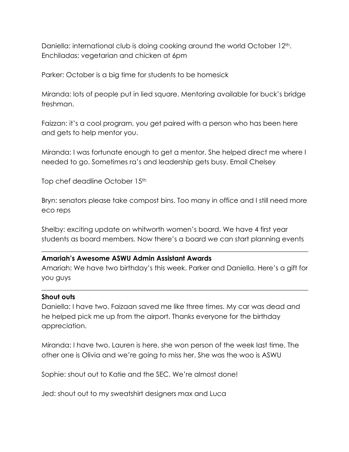Daniella: international club is doing cooking around the world October 12<sup>th</sup>. Enchiladas: vegetarian and chicken at 6pm

Parker: October is a big time for students to be homesick

Miranda: lots of people put in lied square. Mentoring available for buck's bridge freshman.

Faizzan: it's a cool program, you get paired with a person who has been here and gets to help mentor you.

Miranda: I was fortunate enough to get a mentor. She helped direct me where I needed to go. Sometimes ra's and leadership gets busy. Email Chelsey

Top chef deadline October 15<sup>th</sup>

Bryn: senators please take compost bins. Too many in office and I still need more eco reps

Shelby: exciting update on whitworth women's board. We have 4 first year students as board members. Now there's a board we can start planning events

 $\_$  , and the set of the set of the set of the set of the set of the set of the set of the set of the set of the set of the set of the set of the set of the set of the set of the set of the set of the set of the set of th

### **Amariah's Awesome ASWU Admin Assistant Awards**

Amariah: We have two birthday's this week. Parker and Daniella. Here's a gift for you guys

 $\_$  , and the set of the set of the set of the set of the set of the set of the set of the set of the set of the set of the set of the set of the set of the set of the set of the set of the set of the set of the set of th

### **Shout outs**

Daniella: I have two. Faizaan saved me like three times. My car was dead and he helped pick me up from the airport. Thanks everyone for the birthday appreciation.

Miranda: I have two. Lauren is here, she won person of the week last time. The other one is Olivia and we're going to miss her. She was the woo is ASWU

Sophie: shout out to Katie and the SEC. We're almost done!

Jed: shout out to my sweatshirt designers max and Luca